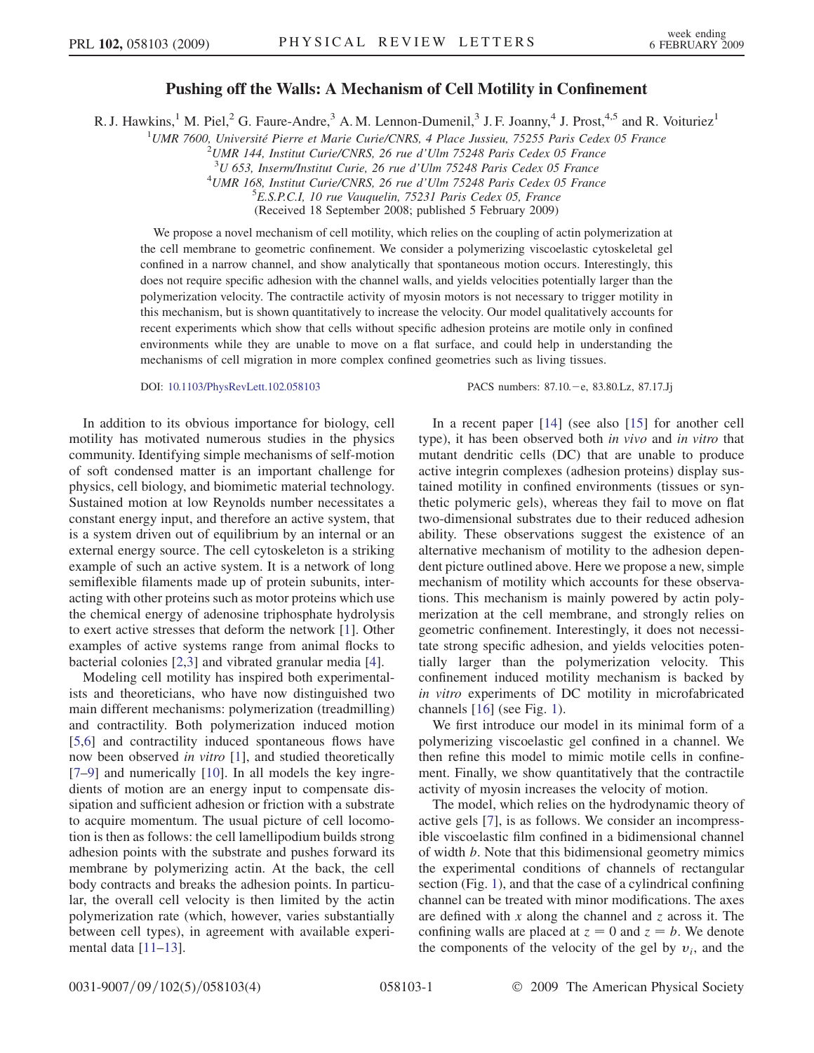## Pushing off the Walls: A Mechanism of Cell Motility in Confinement

R. J. Hawkins,<sup>1</sup> M. Piel,<sup>2</sup> G. Faure-Andre,<sup>3</sup> A. M. Lennon-Dumenil,<sup>3</sup> J. F. Joanny,<sup>4</sup> J. Prost,<sup>4,5</sup> and R. Voituriez<sup>1</sup>

<sup>1</sup> UMR 7600, Université Pierre et Marie Curie/CNRS, 4 Place Jussieu, 75255 Paris Cedex 05 France  $\frac{2 IIMR}{IAM}$  144 Institut Curie/CNRS, 26 rue d'Ulm 75248 Paris Cedex 05 France

 $^{2}$ UMR 144, Institut Curie/CNRS, 26 rue d'Ulm 75248 Paris Cedex 05 France

<sup>3</sup>U 653, Inserm/Institut Curie, 26 rue d'Ulm 75248 Paris Cedex 05 France<br><sup>4</sup>UMP 168, Institut Curie/CNPS, 26 rue d'Ulm 75248 Paris Cedex 05 France

UMR 168, Institut Curie/CNRS, 26 rue d'Ulm 75248 Paris Cedex 05 France <sup>5</sup>

 ${}^{5}E.S.P.C.I, 10$  rue Vauquelin, 75231 Paris Cedex 05, France

(Received 18 September 2008; published 5 February 2009)

We propose a novel mechanism of cell motility, which relies on the coupling of actin polymerization at the cell membrane to geometric confinement. We consider a polymerizing viscoelastic cytoskeletal gel confined in a narrow channel, and show analytically that spontaneous motion occurs. Interestingly, this does not require specific adhesion with the channel walls, and yields velocities potentially larger than the polymerization velocity. The contractile activity of myosin motors is not necessary to trigger motility in this mechanism, but is shown quantitatively to increase the velocity. Our model qualitatively accounts for recent experiments which show that cells without specific adhesion proteins are motile only in confined environments while they are unable to move on a flat surface, and could help in understanding the mechanisms of cell migration in more complex confined geometries such as living tissues.

DOI: [10.1103/PhysRevLett.102.058103](http://dx.doi.org/10.1103/PhysRevLett.102.058103) PACS numbers: 87.10.-e, 83.80.Lz, 87.17.Jj

In addition to its obvious importance for biology, cell motility has motivated numerous studies in the physics community. Identifying simple mechanisms of self-motion of soft condensed matter is an important challenge for physics, cell biology, and biomimetic material technology. Sustained motion at low Reynolds number necessitates a constant energy input, and therefore an active system, that is a system driven out of equilibrium by an internal or an external energy source. The cell cytoskeleton is a striking example of such an active system. It is a network of long semiflexible filaments made up of protein subunits, interacting with other proteins such as motor proteins which use the chemical energy of adenosine triphosphate hydrolysis to exert active stresses that deform the network [1]. Other examples of active systems range from animal flocks to bacterial colonies [2,3] and vibrated granular media [4].

Modeling cell motility has inspired both experimentalists and theoreticians, who have now distinguished two main different mechanisms: polymerization (treadmilling) and contractility. Both polymerization induced motion [5,6] and contractility induced spontaneous flows have now been observed *in vitro* [1], and studied theoretically [7–9] and numerically [10]. In all models the key ingredients of motion are an energy input to compensate dissipation and sufficient adhesion or friction with a substrate to acquire momentum. The usual picture of cell locomotion is then as follows: the cell lamellipodium builds strong adhesion points with the substrate and pushes forward its membrane by polymerizing actin. At the back, the cell body contracts and breaks the adhesion points. In particular, the overall cell velocity is then limited by the actin polymerization rate (which, however, varies substantially between cell types), in agreement with available experimental data  $[11-13]$ .

In a recent paper [14] (see also [15] for another cell type), it has been observed both in vivo and in vitro that mutant dendritic cells (DC) that are unable to produce active integrin complexes (adhesion proteins) display sustained motility in confined environments (tissues or synthetic polymeric gels), whereas they fail to move on flat two-dimensional substrates due to their reduced adhesion ability. These observations suggest the existence of an alternative mechanism of motility to the adhesion dependent picture outlined above. Here we propose a new, simple mechanism of motility which accounts for these observations. This mechanism is mainly powered by actin polymerization at the cell membrane, and strongly relies on geometric confinement. Interestingly, it does not necessitate strong specific adhesion, and yields velocities potentially larger than the polymerization velocity. This confinement induced motility mechanism is backed by in vitro experiments of DC motility in microfabricated channels [16] (see Fig. [1\)](#page-1-0).

We first introduce our model in its minimal form of a polymerizing viscoelastic gel confined in a channel. We then refine this model to mimic motile cells in confinement. Finally, we show quantitatively that the contractile activity of myosin increases the velocity of motion.

The model, which relies on the hydrodynamic theory of active gels [7], is as follows. We consider an incompressible viscoelastic film confined in a bidimensional channel of width b. Note that this bidimensional geometry mimics the experimental conditions of channels of rectangular section (Fig. [1\)](#page-1-0), and that the case of a cylindrical confining channel can be treated with minor modifications. The axes are defined with x along the channel and z across it. The confining walls are placed at  $z = 0$  and  $z = b$ . We denote the components of the velocity of the gel by  $v_i$ , and the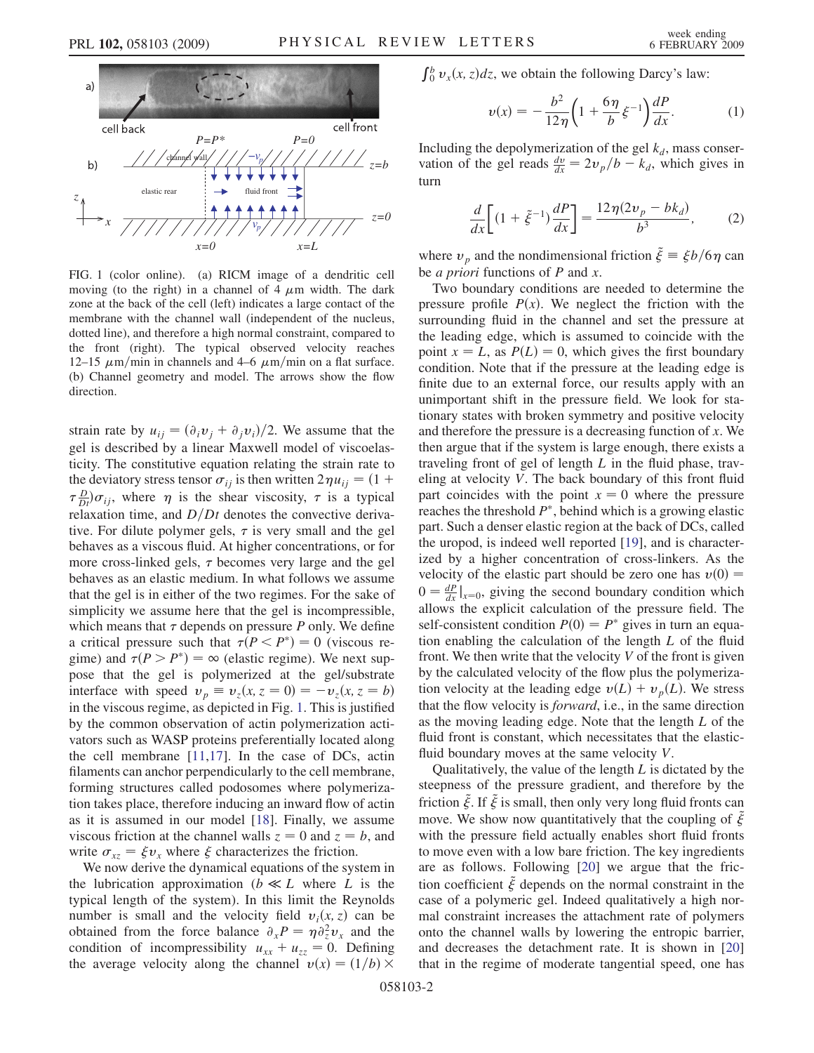<span id="page-1-0"></span>

FIG. 1 (color online). (a) RICM image of a dendritic cell moving (to the right) in a channel of 4  $\mu$ m width. The dark zone at the back of the cell (left) indicates a large contact of the membrane with the channel wall (independent of the nucleus, dotted line), and therefore a high normal constraint, compared to the front (right). The typical observed velocity reaches 12–15  $\mu$ m/min in channels and 4–6  $\mu$ m/min on a flat surface. (b) Channel geometry and model. The arrows show the flow direction.

strain rate by  $u_{ij} = (\partial_i v_j + \partial_j v_i)/2$ . We assume that the gel is described by a linear Maxwell model of viscoelasticity. The constitutive equation relating the strain rate to the deviatory stress tensor  $\sigma_{ij}$  is then written  $2\eta u_{ij} = (1 +$  $\tau \frac{D}{Dt} \sigma_{ij}$ , where  $\eta$  is the shear viscosity,  $\tau$  is a typical relaxation time, and  $D/Dt$  denotes the convective derivative. For dilute polymer gels,  $\tau$  is very small and the gel behaves as a viscous fluid. At higher concentrations, or for more cross-linked gels,  $\tau$  becomes very large and the gel behaves as an elastic medium. In what follows we assume that the gel is in either of the two regimes. For the sake of simplicity we assume here that the gel is incompressible, which means that  $\tau$  depends on pressure P only. We define a critical pressure such that  $\tau(P < P^*) = 0$  (viscous regime) and  $\tau(P > P^*) = \infty$  (elastic regime). We next suppose that the gel is polymerized at the gel/substrate interface with speed  $v_p \equiv v_z(x, z = 0) = -v_z(x, z = b)$ in the viscous regime, as depicted in Fig. 1. This is justified by the common observation of actin polymerization activators such as WASP proteins preferentially located along the cell membrane [11,17]. In the case of DCs, actin filaments can anchor perpendicularly to the cell membrane, forming structures called podosomes where polymerization takes place, therefore inducing an inward flow of actin as it is assumed in our model [18]. Finally, we assume viscous friction at the channel walls  $z = 0$  and  $z = b$ , and write  $\sigma_{xz} = \xi v_x$  where  $\xi$  characterizes the friction.

We now derive the dynamical equations of the system in the lubrication approximation ( $b \ll L$  where L is the typical length of the system). In this limit the Reynolds number is small and the velocity field  $v_i(x, z)$  can be obtained from the force balance  $\partial_x P = \eta \partial_z^2 v_x$  and the condition of incompressibility  $u_{xx} + u_{zz} = 0$ . Defining the average velocity along the channel  $v(x) = (1/b) \times$ 

 $\int_0^b v_x(x, z) dz$ , we obtain the following Darcy's law:

$$
v(x) = -\frac{b^2}{12\eta} \left( 1 + \frac{6\eta}{b} \xi^{-1} \right) \frac{dP}{dx}.
$$
 (1)

<span id="page-1-1"></span>Including the depolymerization of the gel  $k_d$ , mass conservation of the gel reads  $\frac{dv}{dx} = 2v_p/b - k_d$ , which gives in turn

$$
\frac{d}{dx}\left[ (1 + \tilde{\xi}^{-1}) \frac{dP}{dx} \right] = \frac{12\eta(2v_p - bk_d)}{b^3},
$$
 (2)

where  $v_p$  and the nondimensional friction  $\tilde{\xi} = \xi b/6\eta$  can be *a priori* functions of  $P$  and  $x$ .

Two boundary conditions are needed to determine the pressure profile  $P(x)$ . We neglect the friction with the surrounding fluid in the channel and set the pressure at the leading edge, which is assumed to coincide with the point  $x = L$ , as  $P(L) = 0$ , which gives the first boundary condition. Note that if the pressure at the leading edge is finite due to an external force, our results apply with an unimportant shift in the pressure field. We look for stationary states with broken symmetry and positive velocity and therefore the pressure is a decreasing function of  $x$ . We then argue that if the system is large enough, there exists a traveling front of gel of length  $L$  in the fluid phase, traveling at velocity V. The back boundary of this front fluid part coincides with the point  $x = 0$  where the pressure reaches the threshold  $P^*$ , behind which is a growing elastic part. Such a denser elastic region at the back of DCs, called the uropod, is indeed well reported [19], and is characterized by a higher concentration of cross-linkers. As the velocity of the elastic part should be zero one has  $v(0) =$  $0 = \frac{dP}{dx}|_{x=0}$ , giving the second boundary condition which allows the explicit calculation of the pressure field. The self-consistent condition  $P(0) = P^*$  gives in turn an equation enabling the calculation of the length  $L$  of the fluid front. We then write that the velocity  $V$  of the front is given by the calculated velocity of the flow plus the polymerization velocity at the leading edge  $v(L) + v_p(L)$ . We stress that the flow velocity is forward, i.e., in the same direction as the moving leading edge. Note that the length L of the fluid front is constant, which necessitates that the elasticfluid boundary moves at the same velocity V.

Qualitatively, the value of the length  $L$  is dictated by the steepness of the pressure gradient, and therefore by the friction  $\zeta$ . If  $\zeta$  is small, then only very long fluid fronts can move. We show now quantitatively that the coupling of  $\tilde{\xi}$ with the pressure field actually enables short fluid fronts to move even with a low bare friction. The key ingredients are as follows. Following [20] we argue that the friction coefficient  $\tilde{\xi}$  depends on the normal constraint in the case of a polymeric gel. Indeed qualitatively a high normal constraint increases the attachment rate of polymers onto the channel walls by lowering the entropic barrier, and decreases the detachment rate. It is shown in [20] that in the regime of moderate tangential speed, one has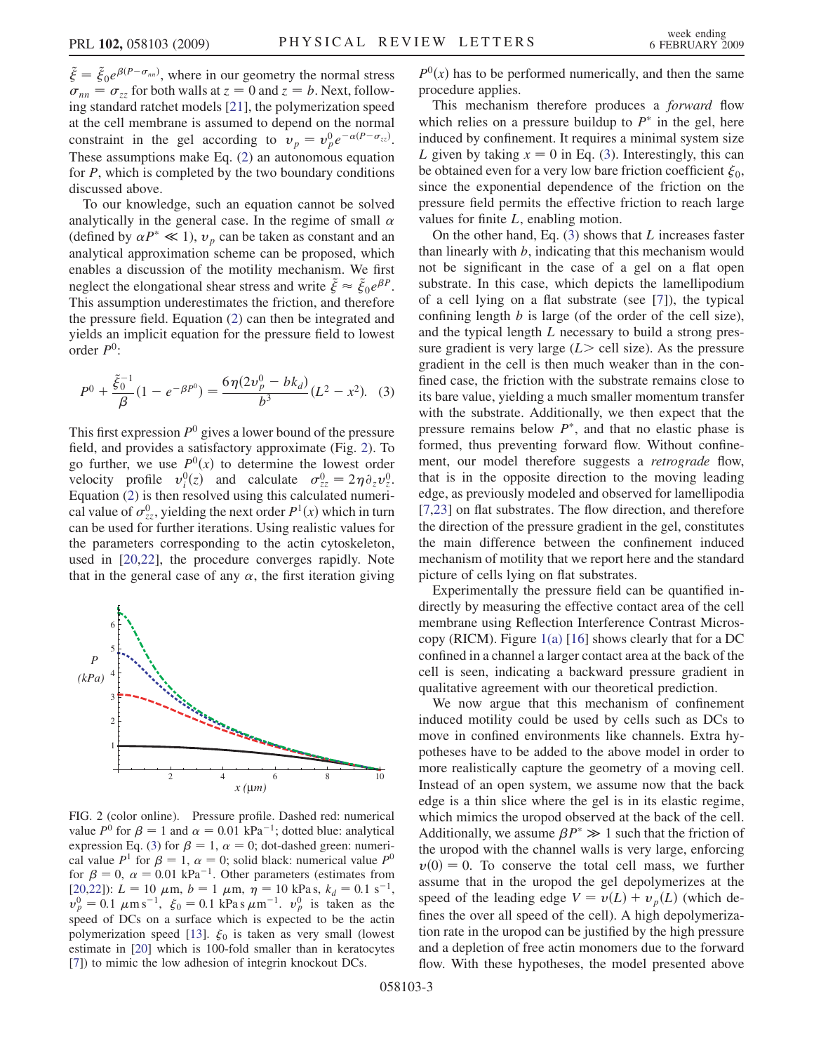<span id="page-2-1"></span> $\tilde{\xi} = \tilde{\xi}_0 e^{\beta(P - \sigma_{nn})}$ , where in our geometry the normal stress  $\sigma_{nn} = \sigma_{zz}$  for both walls at  $z = 0$  and  $z = b$ . Next, following standard ratchet models [21], the polymerization speed at the cell membrane is assumed to depend on the normal constraint in the gel according to  $v_p = v_p^0 e^{-\alpha (P - \sigma_{zz})}$ . These assumptions make Eq. ([2\)](#page-1-1) an autonomous equation for P, which is completed by the two boundary conditions discussed above.

To our knowledge, such an equation cannot be solved analytically in the general case. In the regime of small  $\alpha$ (defined by  $\alpha P^* \ll 1$ ),  $v_p$  can be taken as constant and an analytical approximation scheme can be proposed, which enables a discussion of the motility mechanism. We first neglect the elongational shear stress and write  $\tilde{\xi} \approx \tilde{\xi}_0 e^{\beta P}$ . This assumption underestimates the friction, and therefore the pressure field. Equation [\(2](#page-1-1)) can then be integrated and yields an implicit equation for the pressure field to lowest order  $P^0$ :

<span id="page-2-0"></span>
$$
P^{0} + \frac{\tilde{\xi}_{0}^{-1}}{\beta} (1 - e^{-\beta P^{0}}) = \frac{6\eta(2v_{p}^{0} - bk_{d})}{b^{3}} (L^{2} - x^{2}).
$$
 (3)

This first expression  $P^0$  gives a lower bound of the pressure field, and provides a satisfactory approximate (Fig. 2). To go further, we use  $P^{0}(x)$  to determine the lowest order velocity profile  $v_i^0(z)$  and calculate  $\sigma_{zz}^0 = 2\eta \partial_z v_z^0$ . Equation ([2](#page-1-1)) is then resolved using this calculated numerical value of  $\sigma_{zz}^0$ , yielding the next order  $P^1(x)$  which in turn can be used for further iterations. Using realistic values for the parameters corresponding to the actin cytoskeleton, used in [20,22], the procedure converges rapidly. Note that in the general case of any  $\alpha$ , the first iteration giving



FIG. 2 (color online). Pressure profile. Dashed red: numerical value  $P^0$  for  $\beta = 1$  and  $\alpha = 0.01$  kPa<sup>-1</sup>; dotted blue: analytical expression Eq. [\(3](#page-2-0)) for  $\beta = 1$ ,  $\alpha = 0$ ; dot-dashed green: numerical value  $P^1$  for  $\beta = 1$ ,  $\alpha = 0$ ; solid black: numerical value  $P^0$ for  $\beta = 0$ ,  $\alpha = 0.01$  kPa<sup>-1</sup>. Other parameters (estimates from [20,22]):  $L = 10 \mu \text{m}$ ,  $b = 1 \mu \text{m}$ ,  $\eta = 10 \text{ kPa s}$ ,  $k_d = 0.1 \text{ s}^{-1}$ ,  $v_p^0 = 0.1 \mu \text{m s}^{-1}$ ,  $\xi_0 = 0.1 \text{ kPa s } \mu \text{m}^{-1}$ .  $v_p^0$  is taken as the speed of DCs on a surface which is expected to be the actin polymerization speed [13].  $\xi_0$  is taken as very small (lowest estimate in [20] which is 100-fold smaller than in keratocytes [7]) to mimic the low adhesion of integrin knockout DCs.

 $P^{0}(x)$  has to be performed numerically, and then the same procedure applies.

This mechanism therefore produces a *forward* flow which relies on a pressure buildup to  $P^*$  in the gel, here induced by confinement. It requires a minimal system size L given by taking  $x = 0$  in Eq. [\(3\)](#page-2-0). Interestingly, this can be obtained even for a very low bare friction coefficient  $\xi_0$ , since the exponential dependence of the friction on the pressure field permits the effective friction to reach large values for finite L, enabling motion.

On the other hand, Eq.  $(3)$  shows that L increases faster than linearly with  $b$ , indicating that this mechanism would not be significant in the case of a gel on a flat open substrate. In this case, which depicts the lamellipodium of a cell lying on a flat substrate (see [7]), the typical confining length  $b$  is large (of the order of the cell size), and the typical length L necessary to build a strong pressure gradient is very large  $(L > \text{cell size})$ . As the pressure gradient in the cell is then much weaker than in the confined case, the friction with the substrate remains close to its bare value, yielding a much smaller momentum transfer with the substrate. Additionally, we then expect that the pressure remains below  $P^*$ , and that no elastic phase is formed, thus preventing forward flow. Without confinement, our model therefore suggests a retrograde flow, that is in the opposite direction to the moving leading edge, as previously modeled and observed for lamellipodia [7,23] on flat substrates. The flow direction, and therefore the direction of the pressure gradient in the gel, constitutes the main difference between the confinement induced mechanism of motility that we report here and the standard picture of cells lying on flat substrates.

Experimentally the pressure field can be quantified indirectly by measuring the effective contact area of the cell membrane using Reflection Interference Contrast Microscopy (RICM). Figure [1\(a\)](#page-1-0) [16] shows clearly that for a DC confined in a channel a larger contact area at the back of the cell is seen, indicating a backward pressure gradient in qualitative agreement with our theoretical prediction.

We now argue that this mechanism of confinement induced motility could be used by cells such as DCs to move in confined environments like channels. Extra hypotheses have to be added to the above model in order to more realistically capture the geometry of a moving cell. Instead of an open system, we assume now that the back edge is a thin slice where the gel is in its elastic regime, which mimics the uropod observed at the back of the cell. Additionally, we assume  $\beta P^* \gg 1$  such that the friction of the uropod with the channel walls is very large, enforcing  $v(0) = 0$ . To conserve the total cell mass, we further assume that in the uropod the gel depolymerizes at the speed of the leading edge  $V = v(L) + v_p(L)$  (which defines the over all speed of the cell). A high depolymerization rate in the uropod can be justified by the high pressure and a depletion of free actin monomers due to the forward flow. With these hypotheses, the model presented above